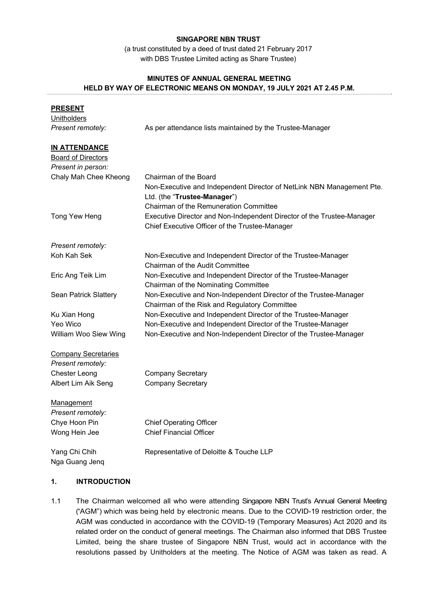### **SINGAPORE NBN TRUST**

(a trust constituted by a deed of trust dated 21 February 2017 with DBS Trustee Limited acting as Share Trustee)

# **MINUTES OF ANNUAL GENERAL MEETING HELD BY WAY OF ELECTRONIC MEANS ON MONDAY, 19 JULY 2021 AT 2.45 P.M.**

| <b>PRESENT</b>                  |                                                                        |  |  |  |  |  |
|---------------------------------|------------------------------------------------------------------------|--|--|--|--|--|
| <b>Unitholders</b>              |                                                                        |  |  |  |  |  |
| Present remotely:               | As per attendance lists maintained by the Trustee-Manager              |  |  |  |  |  |
| <b>IN ATTENDANCE</b>            |                                                                        |  |  |  |  |  |
| <b>Board of Directors</b>       |                                                                        |  |  |  |  |  |
| Present in person:              |                                                                        |  |  |  |  |  |
| Chaly Mah Chee Kheong           | Chairman of the Board                                                  |  |  |  |  |  |
|                                 | Non-Executive and Independent Director of NetLink NBN Management Pte.  |  |  |  |  |  |
|                                 | Ltd. (the "Trustee-Manager")                                           |  |  |  |  |  |
|                                 | Chairman of the Remuneration Committee                                 |  |  |  |  |  |
| Tong Yew Heng                   | Executive Director and Non-Independent Director of the Trustee-Manager |  |  |  |  |  |
|                                 | Chief Executive Officer of the Trustee-Manager                         |  |  |  |  |  |
| Present remotely:               |                                                                        |  |  |  |  |  |
| Koh Kah Sek                     | Non-Executive and Independent Director of the Trustee-Manager          |  |  |  |  |  |
|                                 | <b>Chairman of the Audit Committee</b>                                 |  |  |  |  |  |
| Eric Ang Teik Lim               | Non-Executive and Independent Director of the Trustee-Manager          |  |  |  |  |  |
|                                 | Chairman of the Nominating Committee                                   |  |  |  |  |  |
| Sean Patrick Slattery           | Non-Executive and Non-Independent Director of the Trustee-Manager      |  |  |  |  |  |
|                                 | Chairman of the Risk and Regulatory Committee                          |  |  |  |  |  |
| Ku Xian Hong                    | Non-Executive and Independent Director of the Trustee-Manager          |  |  |  |  |  |
| Yeo Wico                        | Non-Executive and Independent Director of the Trustee-Manager          |  |  |  |  |  |
| William Woo Siew Wing           | Non-Executive and Non-Independent Director of the Trustee-Manager      |  |  |  |  |  |
| <b>Company Secretaries</b>      |                                                                        |  |  |  |  |  |
| Present remotely:               |                                                                        |  |  |  |  |  |
| <b>Chester Leong</b>            | <b>Company Secretary</b>                                               |  |  |  |  |  |
| Albert Lim Aik Seng             | <b>Company Secretary</b>                                               |  |  |  |  |  |
| Management                      |                                                                        |  |  |  |  |  |
| Present remotely:               |                                                                        |  |  |  |  |  |
| Chye Hoon Pin                   | <b>Chief Operating Officer</b>                                         |  |  |  |  |  |
| Wong Hein Jee                   | <b>Chief Financial Officer</b>                                         |  |  |  |  |  |
| Yang Chi Chih<br>Nga Guang Jenq | Representative of Deloitte & Touche LLP                                |  |  |  |  |  |

# **1. INTRODUCTION**

1.1 The Chairman welcomed all who were attending Singapore NBN Trust's Annual General Meeting ("AGM") which was being held by electronic means. Due to the COVID-19 restriction order, the AGM was conducted in accordance with the COVID-19 (Temporary Measures) Act 2020 and its related order on the conduct of general meetings. The Chairman also informed that DBS Trustee Limited, being the share trustee of Singapore NBN Trust, would act in accordance with the resolutions passed by Unitholders at the meeting. The Notice of AGM was taken as read. A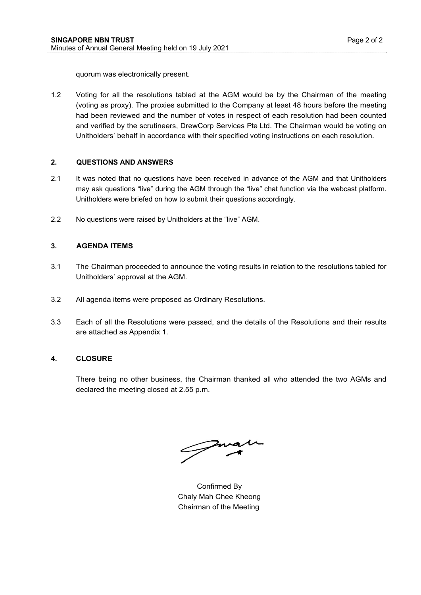quorum was electronically present.

1.2 Voting for all the resolutions tabled at the AGM would be by the Chairman of the meeting (voting as proxy). The proxies submitted to the Company at least 48 hours before the meeting had been reviewed and the number of votes in respect of each resolution had been counted and verified by the scrutineers, DrewCorp Services Pte Ltd. The Chairman would be voting on Unitholders' behalf in accordance with their specified voting instructions on each resolution.

# **2. QUESTIONS AND ANSWERS**

- 2.1 It was noted that no questions have been received in advance of the AGM and that Unitholders may ask questions "live" during the AGM through the "live" chat function via the webcast platform. Unitholders were briefed on how to submit their questions accordingly.
- 2.2 No questions were raised by Unitholders at the "live" AGM.

#### **3. AGENDA ITEMS**

- 3.1 The Chairman proceeded to announce the voting results in relation to the resolutions tabled for Unitholders' approval at the AGM.
- 3.2 All agenda items were proposed as Ordinary Resolutions.
- 3.3 Each of all the Resolutions were passed, and the details of the Resolutions and their results are attached as Appendix 1.

#### **4. CLOSURE**

There being no other business, the Chairman thanked all who attended the two AGMs and declared the meeting closed at 2.55 p.m.

Juan

Confirmed By Chaly Mah Chee Kheong Chairman of the Meeting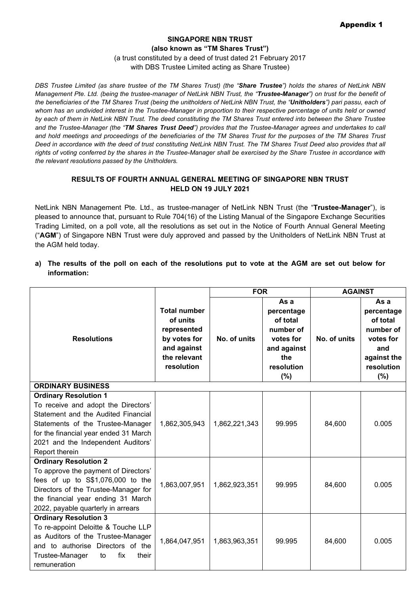## **SINGAPORE NBN TRUST (also known as "TM Shares Trust")**  (a trust constituted by a deed of trust dated 21 February 2017 with DBS Trustee Limited acting as Share Trustee)

*DBS Trustee Limited (as share trustee of the TM Shares Trust) (the "Share Trustee") holds the shares of NetLink NBN Management Pte. Ltd. (being the trustee-manager of NetLink NBN Trust, the "Trustee-Manager") on trust for the benefit of the beneficiaries of the TM Shares Trust (being the unitholders of NetLink NBN Trust, the "Unitholders") pari passu, each of whom has an undivided interest in the Trustee-Manager in proportion to their respective percentage of units held or owned by each of them in NetLink NBN Trust. The deed constituting the TM Shares Trust entered into between the Share Trustee and the Trustee-Manager (the "TM Shares Trust Deed") provides that the Trustee-Manager agrees and undertakes to call and hold meetings and proceedings of the beneficiaries of the TM Shares Trust for the purposes of the TM Shares Trust Deed in accordance with the deed of trust constituting NetLink NBN Trust. The TM Shares Trust Deed also provides that all rights of voting conferred by the shares in the Trustee-Manager shall be exercised by the Share Trustee in accordance with the relevant resolutions passed by the Unitholders.*

# **RESULTS OF FOURTH ANNUAL GENERAL MEETING OF SINGAPORE NBN TRUST HELD ON 19 JULY 2021**

NetLink NBN Management Pte. Ltd., as trustee-manager of NetLink NBN Trust (the "**Trustee-Manager**"), is pleased to announce that, pursuant to Rule 704(16) of the Listing Manual of the Singapore Exchange Securities Trading Limited, on a poll vote, all the resolutions as set out in the Notice of Fourth Annual General Meeting ("**AGM**") of Singapore NBN Trust were duly approved and passed by the Unitholders of NetLink NBN Trust at the AGM held today.

**a) The results of the poll on each of the resolutions put to vote at the AGM are set out below for information:**

|                                                                                                                                                                                                                                                  |                                                                                                             | <b>FOR</b>    |                                                                                                     | <b>AGAINST</b> |                                                                                                        |  |  |  |
|--------------------------------------------------------------------------------------------------------------------------------------------------------------------------------------------------------------------------------------------------|-------------------------------------------------------------------------------------------------------------|---------------|-----------------------------------------------------------------------------------------------------|----------------|--------------------------------------------------------------------------------------------------------|--|--|--|
| <b>Resolutions</b>                                                                                                                                                                                                                               | <b>Total number</b><br>of units<br>represented<br>by votes for<br>and against<br>the relevant<br>resolution | No. of units  | As a<br>percentage<br>of total<br>number of<br>votes for<br>and against<br>the<br>resolution<br>(%) | No. of units   | As a<br>percentage<br>of total<br>number of<br>votes for<br>and<br>against the<br>resolution<br>$(\%)$ |  |  |  |
| <b>ORDINARY BUSINESS</b>                                                                                                                                                                                                                         |                                                                                                             |               |                                                                                                     |                |                                                                                                        |  |  |  |
| <b>Ordinary Resolution 1</b><br>To receive and adopt the Directors'<br>Statement and the Audited Financial<br>Statements of the Trustee-Manager<br>for the financial year ended 31 March<br>2021 and the Independent Auditors'<br>Report therein | 1,862,305,943                                                                                               | 1,862,221,343 | 99.995                                                                                              | 84,600         | 0.005                                                                                                  |  |  |  |
| <b>Ordinary Resolution 2</b><br>To approve the payment of Directors'<br>fees of up to S\$1,076,000 to the<br>Directors of the Trustee-Manager for<br>the financial year ending 31 March<br>2022, payable quarterly in arrears                    | 1,863,007,951                                                                                               | 1,862,923,351 | 99.995                                                                                              | 84,600         | 0.005                                                                                                  |  |  |  |
| <b>Ordinary Resolution 3</b><br>To re-appoint Deloitte & Touche LLP<br>as Auditors of the Trustee-Manager<br>and to authorise Directors of the<br>Trustee-Manager<br>fix<br>their<br>to<br>remuneration                                          | 1,864,047,951                                                                                               | 1,863,963,351 | 99.995                                                                                              | 84,600         | 0.005                                                                                                  |  |  |  |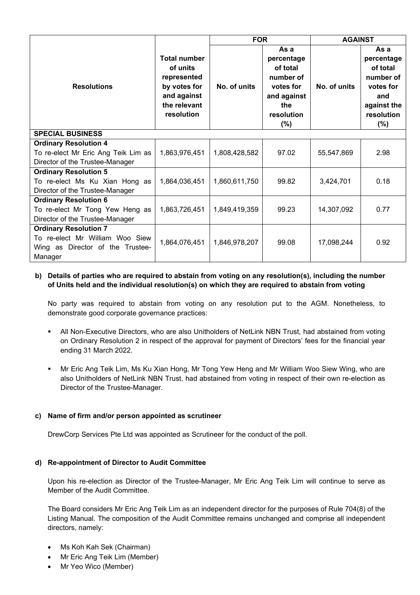|                                                                                                                |                                                                                                             | <b>FOR</b>    |                                                                                                        | <b>AGAINST</b> |                                                                                                     |  |  |
|----------------------------------------------------------------------------------------------------------------|-------------------------------------------------------------------------------------------------------------|---------------|--------------------------------------------------------------------------------------------------------|----------------|-----------------------------------------------------------------------------------------------------|--|--|
| <b>Resolutions</b>                                                                                             | <b>Total number</b><br>of units<br>represented<br>by votes for<br>and against<br>the relevant<br>resolution | No. of units  | As a<br>percentage<br>of total<br>number of<br>votes for<br>and against<br>the<br>resolution<br>$(\%)$ | No. of units   | As a<br>percentage<br>of total<br>number of<br>votes for<br>and<br>against the<br>resolution<br>(%) |  |  |
| <b>SPECIAL BUSINESS</b>                                                                                        |                                                                                                             |               |                                                                                                        |                |                                                                                                     |  |  |
| <b>Ordinary Resolution 4</b><br>To re-elect Mr Eric Ang Teik Lim as<br>Director of the Trustee-Manager         | 1,863,976,451                                                                                               | 1,808,428,582 | 97.02                                                                                                  | 55,547,869     | 2.98                                                                                                |  |  |
| <b>Ordinary Resolution 5</b><br>To re-elect Ms Ku Xian Hong as<br>Director of the Trustee-Manager              | 1,864,036,451                                                                                               | 1,860,611,750 | 99.82                                                                                                  | 3,424,701      | 0.18                                                                                                |  |  |
| <b>Ordinary Resolution 6</b><br>To re-elect Mr Tong Yew Heng as<br>Director of the Trustee-Manager             | 1,863,726,451                                                                                               | 1,849,419,359 | 99.23                                                                                                  | 14,307,092     | 0.77                                                                                                |  |  |
| <b>Ordinary Resolution 7</b><br>To re-elect Mr William Woo Siew<br>Wing as Director of the Trustee-<br>Manager | 1,864,076,451                                                                                               | 1,846,978,207 | 99.08                                                                                                  | 17,098,244     | 0.92                                                                                                |  |  |

# **b) Details of parties who are required to abstain from voting on any resolution(s), including the number of Units held and the individual resolution(s) on which they are required to abstain from voting**

No party was required to abstain from voting on any resolution put to the AGM. Nonetheless, to demonstrate good corporate governance practices:

- All Non-Executive Directors, who are also Unitholders of NetLink NBN Trust, had abstained from voting on Ordinary Resolution 2 in respect of the approval for payment of Directors' fees for the financial year ending 31 March 2022.
- Mr Eric Ang Teik Lim, Ms Ku Xian Hong, Mr Tong Yew Heng and Mr William Woo Siew Wing, who are also Unitholders of NetLink NBN Trust, had abstained from voting in respect of their own re-election as Director of the Trustee-Manager.

## **c) Name of firm and/or person appointed as scrutineer**

DrewCorp Services Pte Ltd was appointed as Scrutineer for the conduct of the poll.

## **d) Re-appointment of Director to Audit Committee**

Upon his re-election as Director of the Trustee-Manager, Mr Eric Ang Teik Lim will continue to serve as Member of the Audit Committee.

The Board considers Mr Eric Ang Teik Lim as an independent director for the purposes of Rule 704(8) of the Listing Manual. The composition of the Audit Committee remains unchanged and comprise all independent directors, namely:

- Ms Koh Kah Sek (Chairman)
- Mr Eric Ang Teik Lim (Member)
- Mr Yeo Wico (Member)